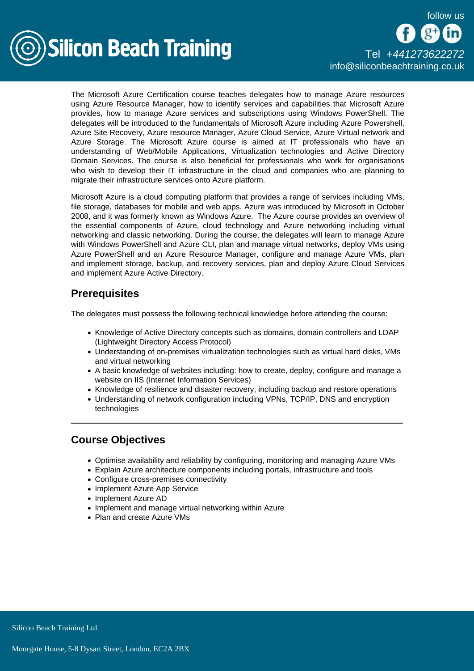

The Microsoft Azure Certification course teaches delegates how to manage Azure resources using Azure Resource Manager, how to identify services and capabilities that Microsoft Azure provides, how to manage Azure services and subscriptions using Windows PowerShell. The delegates will be introduced to the fundamentals of Microsoft Azure including Azure Powershell, Azure Site Recovery, Azure resource Manager, Azure Cloud Service, Azure Virtual network and Azure Storage. The Microsoft Azure course is aimed at IT professionals who have an understanding of Web/Mobile Applications, Virtualization technologies and Active Directory Domain Services. The course is also beneficial for professionals who work for organisations who wish to develop their IT infrastructure in the cloud and companies who are planning to migrate their infrastructure services onto Azure platform.

Microsoft Azure is a cloud computing platform that provides a range of services including VMs, file storage, databases for mobile and web apps. Azure was introduced by Microsoft in October 2008, and it was formerly known as Windows Azure. The Azure course provides an overview of the essential components of Azure, cloud technology and Azure networking including virtual networking and classic networking. During the course, the delegates will learn to manage Azure with Windows PowerShell and Azure CLI, plan and manage virtual networks, deploy VMs using Azure PowerShell and an Azure Resource Manager, configure and manage Azure VMs, plan and implement storage, backup, and recovery services, plan and deploy Azure Cloud Services and implement Azure Active Directory.

## **Prerequisites**

The delegates must possess the following technical knowledge before attending the course:

- Knowledge of Active Directory concepts such as domains, domain controllers and LDAP (Lightweight Directory Access Protocol)
- Understanding of on-premises virtualization technologies such as virtual hard disks, VMs and virtual networking
- A basic knowledge of websites including: how to create, deploy, configure and manage a website on IIS (Internet Information Services)
- Knowledge of resilience and disaster recovery, including backup and restore operations
- Understanding of network configuration including VPNs, TCP/IP, DNS and encryption technologies

# Course Objectives

- Optimise availability and reliability by configuring, monitoring and managing Azure VMs
- Explain Azure architecture components including portals, infrastructure and tools
- Configure cross-premises connectivity
- Implement Azure App Service
- Implement Azure AD
- Implement and manage virtual networking within Azure
- Plan and create Azure VMs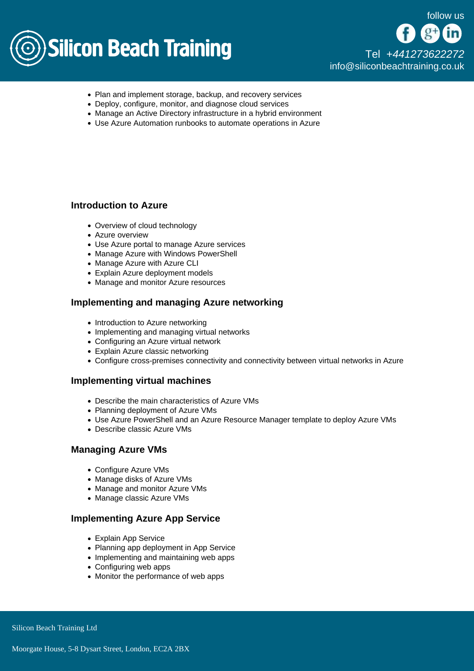

[Tel +44](tel:+441273622272)1273622272 [info@siliconbeachtraining.co.uk](/var/www/html/siliconbeachtraining.co.uk/public/mailTo:info@siliconbeachtraining.co.uk)

- Plan and implement storage, backup, and recovery services
- Deploy, configure, monitor, and diagnose cloud services
- Manage an Active Directory infrastructure in a hybrid environment
- Use Azure Automation runbooks to automate operations in Azure

### Introduction to Azure

- Overview of cloud technology
- Azure overview
- Use Azure portal to manage Azure services
- Manage Azure with Windows PowerShell
- Manage Azure with Azure CLI
- Explain Azure deployment models
- Manage and monitor Azure resources

## Implementing and managing Azure networking

- Introduction to Azure networking
- Implementing and managing virtual networks
- Configuring an Azure virtual network
- Explain Azure classic networking
- Configure cross-premises connectivity and connectivity between virtual networks in Azure

#### Implementing virtual machines

- Describe the main characteristics of Azure VMs
- Planning deployment of Azure VMs
- Use Azure PowerShell and an Azure Resource Manager template to deploy Azure VMs
- Describe classic Azure VMs

#### Managing Azure VMs

- Configure Azure VMs
- Manage disks of Azure VMs
- Manage and monitor Azure VMs
- Manage classic Azure VMs

#### Implementing Azure App Service

- Explain App Service
- Planning app deployment in App Service
- Implementing and maintaining web apps
- Configuring web apps
- Monitor the performance of web apps

Silicon Beach Training Ltd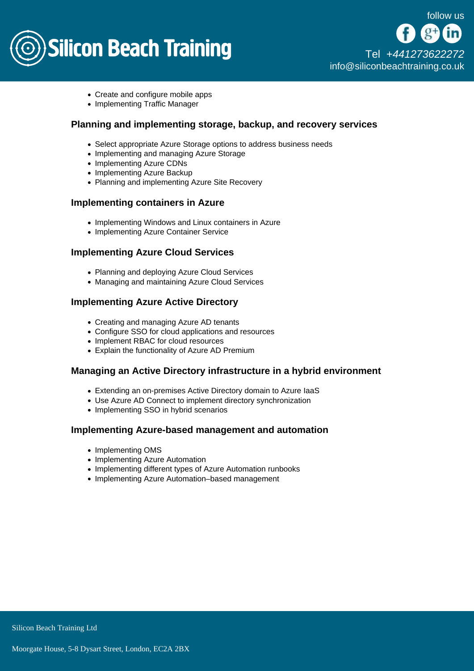

[Tel +44](tel:+441273622272)1273622272 [info@siliconbeachtraining.co.uk](/var/www/html/siliconbeachtraining.co.uk/public/mailTo:info@siliconbeachtraining.co.uk)

- Create and configure mobile apps
- Implementing Traffic Manager

Planning and implementing storage, backup, and recovery services

- Select appropriate Azure Storage options to address business needs
- Implementing and managing Azure Storage
- Implementing Azure CDNs
- Implementing Azure Backup
- Planning and implementing Azure Site Recovery

#### Implementing containers in Azure

- Implementing Windows and Linux containers in Azure
- Implementing Azure Container Service

#### Implementing Azure Cloud Services

- Planning and deploying Azure Cloud Services
- Managing and maintaining Azure Cloud Services

## Implementing Azure Active Directory

- Creating and managing Azure AD tenants
- Configure SSO for cloud applications and resources
- Implement RBAC for cloud resources
- Explain the functionality of Azure AD Premium

#### Managing an Active Directory infrastructure in a hybrid environment

- Extending an on-premises Active Directory domain to Azure IaaS
- Use Azure AD Connect to implement directory synchronization
- Implementing SSO in hybrid scenarios

#### Implementing Azure-based management and automation

- Implementing OMS
- Implementing Azure Automation
- Implementing different types of Azure Automation runbooks
- Implementing Azure Automation–based management